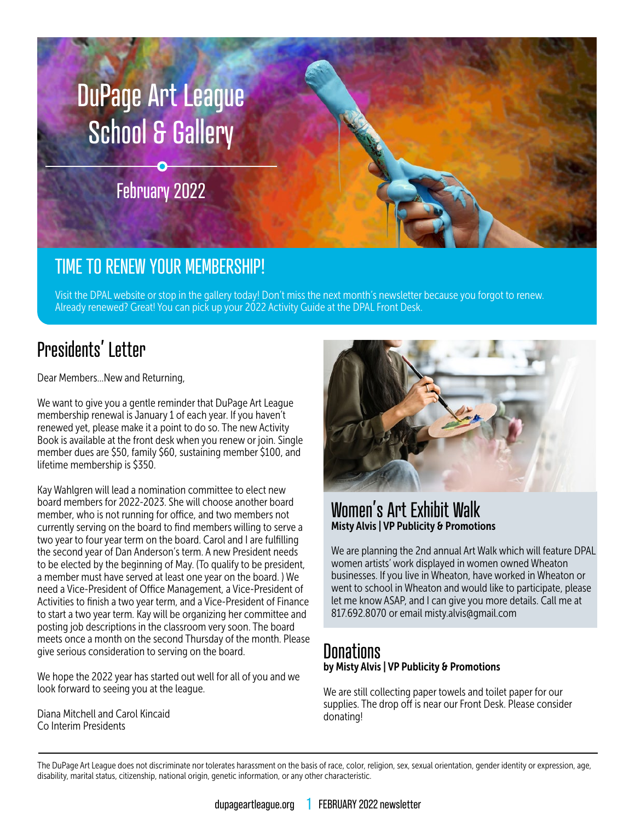

## TIME TO RENEW YOUR MEMBERSHIP!

Visit the DPAL [website](https://www.dupageartleague.org/) or stop in the gallery today! Don't miss the next month's newsletter because you forgot to renew. Already renewed? Great! You can pick up your 2022 Activity Guide at the DPAL Front Desk.

# Presidents' Letter

Dear Members…New and Returning,

We want to give you a gentle reminder that DuPage Art League membership renewal is January 1 of each year. If you haven't renewed yet, please make it a point to do so. The new Activity Book is available at the front desk when you renew or join. Single member dues are \$50, family \$60, sustaining member \$100, and lifetime membership is \$350.

Kay Wahlgren will lead a nomination committee to elect new board members for 2022-2023. She will choose another board member, who is not running for office, and two members not currently serving on the board to find members willing to serve a two year to four year term on the board. Carol and I are fulfilling the second year of Dan Anderson's term. A new President needs to be elected by the beginning of May. (To qualify to be president, a member must have served at least one year on the board. ) We need a Vice-President of Office Management, a Vice-President of Activities to finish a two year term, and a Vice-President of Finance to start a two year term. Kay will be organizing her committee and posting job descriptions in the classroom very soon. The board meets once a month on the second Thursday of the month. Please give serious consideration to serving on the board.

We hope the 2022 year has started out well for all of you and we look forward to seeing you at the league.

Diana Mitchell and Carol Kincaid Co Interim Presidents



### Women's Art Exhibit Walk Misty Alvis | VP Publicity & Promotions

We are planning the 2nd annual Art Walk which will feature DPAL women artists' work displayed in women owned Wheaton businesses. If you live in Wheaton, have worked in Wheaton or went to school in Wheaton and would like to participate, please let me know ASAP, and I can give you more details. Call me at 817.692.8070 or email misty.alvis@gmail.com

### **Donations** by Misty Alvis | VP Publicity & Promotions

We are still collecting paper towels and toilet paper for our supplies. The drop off is near our Front Desk. Please consider donating!

The DuPage Art League does not discriminate nor tolerates harassment on the basis of race, color, religion, sex, sexual orientation, gender identity or expression, age, disability, marital status, citizenship, national origin, genetic information, or any other characteristic.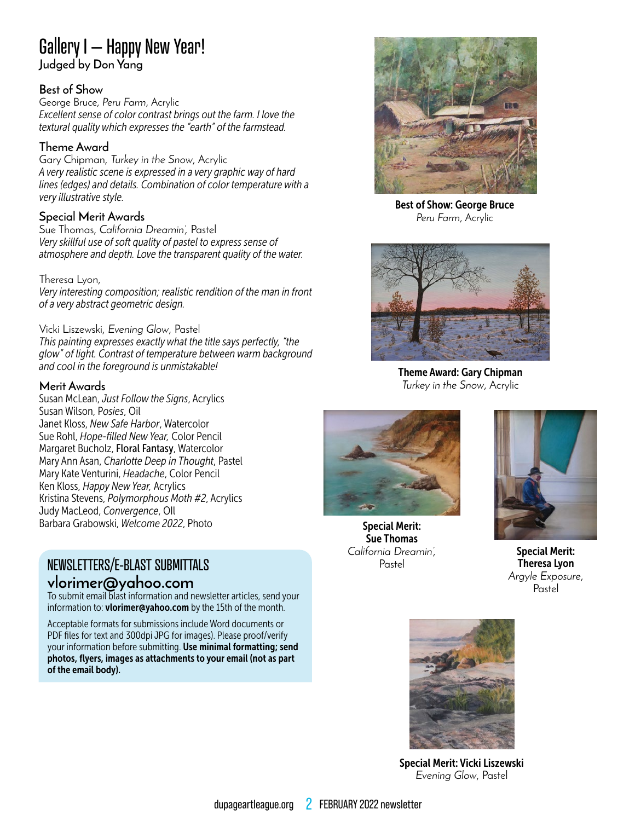### Gallery I – Happy New Year! **Judged by Don Yang**

#### **Best of Show**

George Bruce, *Peru Farm*, Acrylic *Excellent sense of color contrast brings out the farm. I love the textural quality which expresses the "earth" of the farmstead.*

#### **Theme Award**

Gary Chipman, *Turkey in the Snow*, Acrylic *A very realistic scene is expressed in a very graphic way of hard lines (edges) and details. Combination of color temperature with a very illustrative style.*

#### **Special Merit Awards**

Sue Thomas, *California Dreamin',* Pastel *Very skillful use of soft quality of pastel to express sense of atmosphere and depth. Love the transparent quality of the water.*

Theresa Lyon, *Very interesting composition; realistic rendition of the man in front of a very abstract geometric design.*

Vicki Liszewski, *Evening Glow*, Pastel *This painting expresses exactly what the title says perfectly, "the glow" of light. Contrast of temperature between warm background and cool in the foreground is unmistakable!*

#### **Merit Awards**

Susan McLean, *Just Follow the Signs*, Acrylics Susan Wilson, P*osies*, Oil Janet Kloss, *New Safe Harbor*, Watercolor Sue Rohl, *Hope-filled New Year,* Color Pencil Margaret Bucholz, Floral Fantasy, Watercolor Mary Ann Asan, *Charlotte Deep in Thought*, Pastel Mary Kate Venturini, *Headache*, Color Pencil Ken Kloss, *Happy New Year,* Acrylics Kristina Stevens, *Polymorphous Moth #2*, Acrylics Judy MacLeod, *Convergence*, OIl Barbara Grabowski, *Welcome 2022*, Photo

# NEWSLETTERS/E-BLAST SUBMITTALS

#### **vlorimer@yahoo.com**

To submit email blast information and newsletter articles, send your information to: vlorimer@yahoo.com by the 15th of the month.

Acceptable formats for submissions include Word documents or PDF files for text and 300dpi JPG for images). Please proof/verify your information before submitting. Use minimal formatting; send photos, flyers, images as attachments to your email (not as part of the email body).



Best of Show: George Bruce *Peru Farm*, Acrylic



Theme Award: Gary Chipman *Turkey in the Snow*, Acrylic



Special Merit: Sue Thomas *California Dreamin',* Pastel



Special Merit: Theresa Lyon *Argyle Exposure*, Pastel



Special Merit: Vicki Liszewski *Evening Glow*, Pastel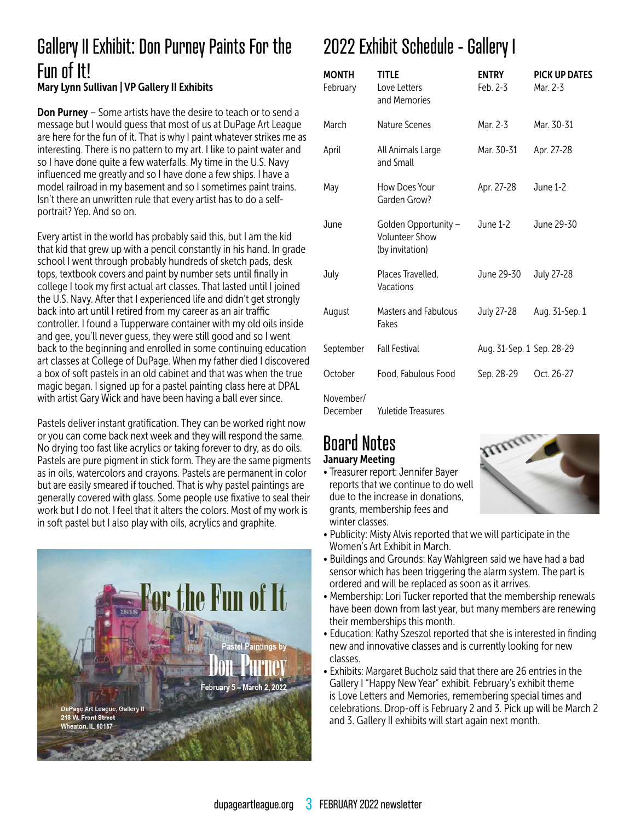## Gallery II Exhibit: Don Purney Paints For the Fun of It! Mary Lynn Sullivan | VP Gallery II Exhibits

**Don Purney** – Some artists have the desire to teach or to send a message but I would guess that most of us at DuPage Art League are here for the fun of it. That is why I paint whatever strikes me as interesting. There is no pattern to my art. I like to paint water and so I have done quite a few waterfalls. My time in the U.S. Navy influenced me greatly and so I have done a few ships. I have a model railroad in my basement and so I sometimes paint trains. Isn't there an unwritten rule that every artist has to do a selfportrait? Yep. And so on.

Every artist in the world has probably said this, but I am the kid that kid that grew up with a pencil constantly in his hand. In grade school I went through probably hundreds of sketch pads, desk tops, textbook covers and paint by number sets until finally in college I took my first actual art classes. That lasted until I joined the U.S. Navy. After that I experienced life and didn't get strongly back into art until I retired from my career as an air traffic controller. I found a Tupperware container with my old oils inside and gee, you'll never guess, they were still good and so I went back to the beginning and enrolled in some continuing education art classes at College of DuPage. When my father died I discovered a box of soft pastels in an old cabinet and that was when the true magic began. I signed up for a pastel painting class here at DPAL with artist Gary Wick and have been having a ball ever since.

Pastels deliver instant gratification. They can be worked right now or you can come back next week and they will respond the same. No drying too fast like acrylics or taking forever to dry, as do oils. Pastels are pure pigment in stick form. They are the same pigments as in oils, watercolors and crayons. Pastels are permanent in color but are easily smeared if touched. That is why pastel paintings are generally covered with glass. Some people use fixative to seal their work but I do not. I feel that it alters the colors. Most of my work is in soft pastel but I also play with oils, acrylics and graphite.



# 2022 Exhibit Schedule - Gallery I

| <b>MONTH</b><br>February | <b>TITLE</b><br>Love Letters<br>and Memories                     | <b>ENTRY</b><br>Feb. 2-3  | <b>PICK UP DATES</b><br>Mar. 2-3 |
|--------------------------|------------------------------------------------------------------|---------------------------|----------------------------------|
| March                    | Nature Scenes                                                    | Mar. 2-3                  | Mar. 30-31                       |
| April                    | All Animals Large<br>and Small                                   | Mar. 30-31                | Apr. 27-28                       |
| May                      | How Does Your<br>Garden Grow?                                    | Apr. 27-28                | June 1-2                         |
| June                     | Golden Opportunity -<br><b>Volunteer Show</b><br>(by invitation) | June 1-2                  | June 29-30                       |
| July                     | Places Travelled,<br>Vacations                                   | June 29-30                | July 27-28                       |
| August                   | <b>Masters and Fabulous</b><br>Fakes                             | July 27-28                | Aug. 31-Sep. 1                   |
| September                | <b>Fall Festival</b>                                             | Aug. 31-Sep. 1 Sep. 28-29 |                                  |
| October                  | Food, Fabulous Food                                              | Sep. 28-29                | Oct. 26-27                       |
| November/<br>December    | Yuletide Treasures                                               |                           |                                  |

### Board Notes January Meeting

• Treasurer report: Jennifer Bayer reports that we continue to do well due to the increase in donations, grants, membership fees and winter classes.



- Publicity: Misty Alvis reported that we will participate in the Women's Art Exhibit in March.
- Buildings and Grounds: Kay Wahlgreen said we have had a bad sensor which has been triggering the alarm system. The part is ordered and will be replaced as soon as it arrives.
- Membership: Lori Tucker reported that the membership renewals have been down from last year, but many members are renewing their memberships this month.
- Education: Kathy Szeszol reported that she is interested in finding new and innovative classes and is currently looking for new classes.
- Exhibits: Margaret Bucholz said that there are 26 entries in the Gallery I "Happy New Year" exhibit. February's exhibit theme is Love Letters and Memories, remembering special times and celebrations. Drop-off is February 2 and 3. Pick up will be March 2 and 3. Gallery II exhibits will start again next month.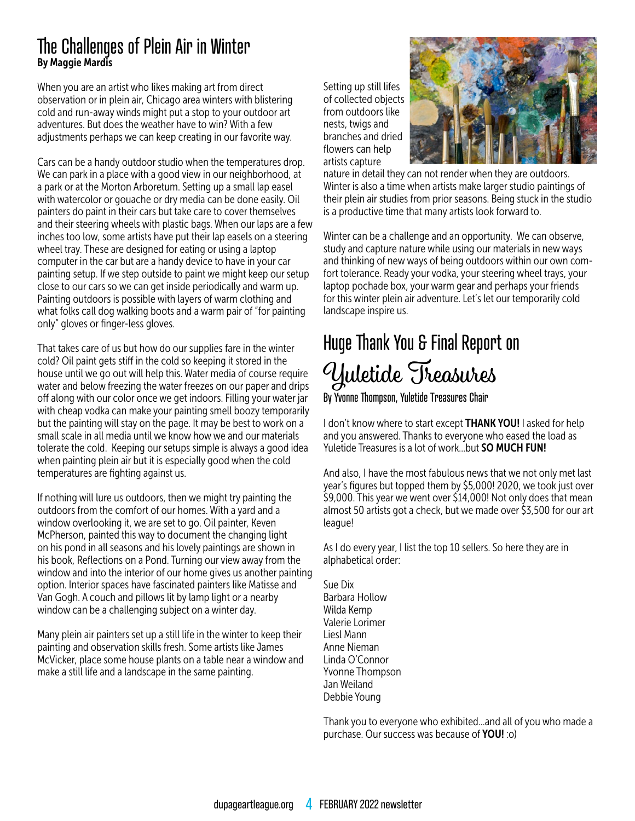### The Challenges of Plein Air in Winter By Maggie Mardis

When you are an artist who likes making art from direct observation or in plein air, Chicago area winters with blistering cold and run-away winds might put a stop to your outdoor art adventures. But does the weather have to win? With a few adjustments perhaps we can keep creating in our favorite way.

Cars can be a handy outdoor studio when the temperatures drop. We can park in a place with a good view in our neighborhood, at a park or at the Morton Arboretum. Setting up a small lap easel with watercolor or gouache or dry media can be done easily. Oil painters do paint in their cars but take care to cover themselves and their steering wheels with plastic bags. When our laps are a few inches too low, some artists have put their lap easels on a steering wheel tray. These are designed for eating or using a laptop computer in the car but are a handy device to have in your car painting setup. If we step outside to paint we might keep our setup close to our cars so we can get inside periodically and warm up. Painting outdoors is possible with layers of warm clothing and what folks call dog walking boots and a warm pair of "for painting only" gloves or finger-less gloves.

That takes care of us but how do our supplies fare in the winter cold? Oil paint gets stiff in the cold so keeping it stored in the house until we go out will help this. Water media of course require water and below freezing the water freezes on our paper and drips off along with our color once we get indoors. Filling your water jar with cheap vodka can make your painting smell boozy temporarily but the painting will stay on the page. It may be best to work on a small scale in all media until we know how we and our materials tolerate the cold. Keeping our setups simple is always a good idea when painting plein air but it is especially good when the cold temperatures are fighting against us.

If nothing will lure us outdoors, then we might try painting the outdoors from the comfort of our homes. With a yard and a window overlooking it, we are set to go. Oil painter, Keven McPherson, painted this way to document the changing light on his pond in all seasons and his lovely paintings are shown in his book, Reflections on a Pond. Turning our view away from the window and into the interior of our home gives us another painting option. Interior spaces have fascinated painters like Matisse and Van Gogh. A couch and pillows lit by lamp light or a nearby window can be a challenging subject on a winter day.

Many plein air painters set up a still life in the winter to keep their painting and observation skills fresh. Some artists like James McVicker, place some house plants on a table near a window and make a still life and a landscape in the same painting.

Setting up still lifes of collected objects from outdoors like nests, twigs and branches and dried flowers can help artists capture



nature in detail they can not render when they are outdoors. Winter is also a time when artists make larger studio paintings of their plein air studies from prior seasons. Being stuck in the studio is a productive time that many artists look forward to.

Winter can be a challenge and an opportunity. We can observe, study and capture nature while using our materials in new ways and thinking of new ways of being outdoors within our own comfort tolerance. Ready your vodka, your steering wheel trays, your laptop pochade box, your warm gear and perhaps your friends for this winter plein air adventure. Let's let our temporarily cold landscape inspire us.

# Huge Thank You & Final Report on Yuletide Treasures

By Yvonne Thompson, Yuletide Treasures Chair

I don't know where to start except THANK YOU! I asked for help and you answered. Thanks to everyone who eased the load as Yuletide Treasures is a lot of work...but **SO MUCH FUN!** 

And also, I have the most fabulous news that we not only met last year's figures but topped them by \$5,000! 2020, we took just over \$9,000. This year we went over \$14,000! Not only does that mean almost 50 artists got a check, but we made over \$3,500 for our art league!

As I do every year, I list the top 10 sellers. So here they are in alphabetical order:

Sue Dix Barbara Hollow Wilda Kemp Valerie Lorimer Liesl Mann Anne Nieman Linda O'Connor Yvonne Thompson Jan Weiland Debbie Young

Thank you to everyone who exhibited…and all of you who made a purchase. Our success was because of YOU! :o)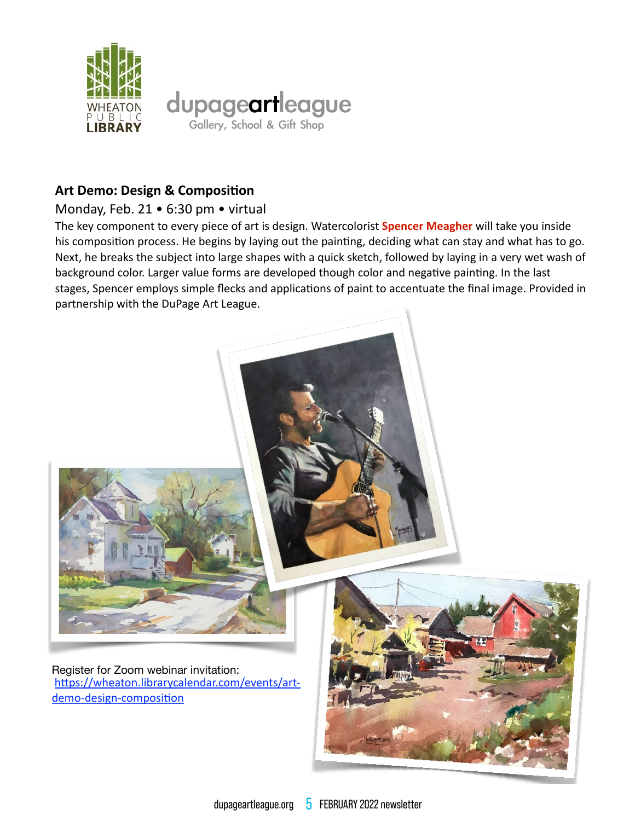

### **Art Demo: Design & Composition**

#### Monday, Feb. 21 . 6:30 pm . virtual

The key component to every piece of art is design. Watercolorist Spencer Meagher will take you inside his composition process. He begins by laying out the painting, deciding what can stay and what has to go. Next, he breaks the subject into large shapes with a quick sketch, followed by laying in a very wet wash of background color. Larger value forms are developed though color and negative painting. In the last stages, Spencer employs simple flecks and applications of paint to accentuate the final image. Provided in partnership with the DuPage Art League.



Register for Zoom webinar invitation: https://wheaton.librarycalendar.com/events/artdemo-design-composition